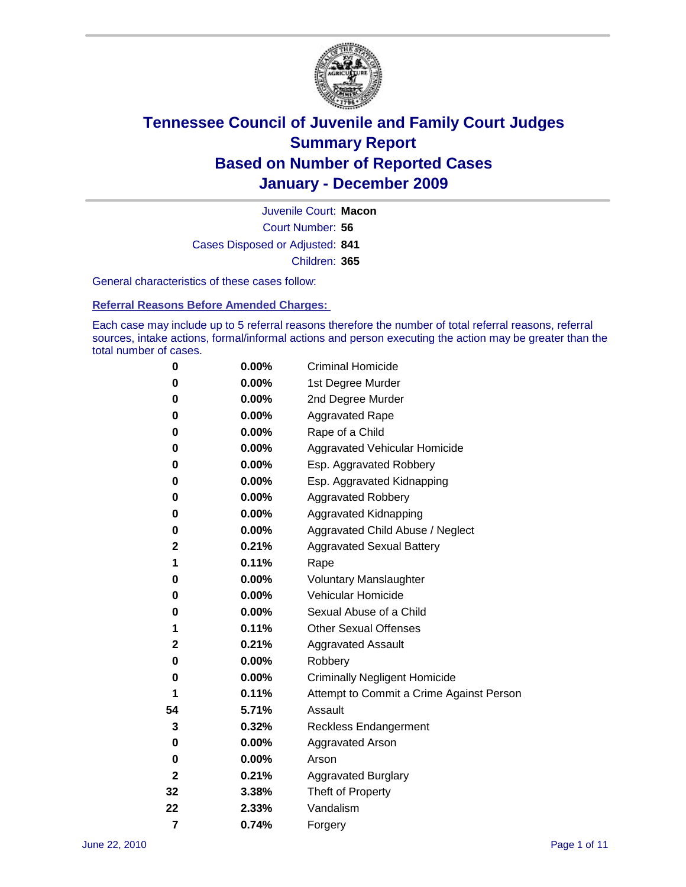

Court Number: **56** Juvenile Court: **Macon** Cases Disposed or Adjusted: **841** Children: **365**

General characteristics of these cases follow:

**Referral Reasons Before Amended Charges:** 

Each case may include up to 5 referral reasons therefore the number of total referral reasons, referral sources, intake actions, formal/informal actions and person executing the action may be greater than the total number of cases.

| 0  | 0.00% | <b>Criminal Homicide</b>                 |
|----|-------|------------------------------------------|
| 0  | 0.00% | 1st Degree Murder                        |
| 0  | 0.00% | 2nd Degree Murder                        |
| 0  | 0.00% | <b>Aggravated Rape</b>                   |
| 0  | 0.00% | Rape of a Child                          |
| 0  | 0.00% | Aggravated Vehicular Homicide            |
| 0  | 0.00% | Esp. Aggravated Robbery                  |
| 0  | 0.00% | Esp. Aggravated Kidnapping               |
| 0  | 0.00% | Aggravated Robbery                       |
| 0  | 0.00% | Aggravated Kidnapping                    |
| 0  | 0.00% | Aggravated Child Abuse / Neglect         |
| 2  | 0.21% | <b>Aggravated Sexual Battery</b>         |
| 1  | 0.11% | Rape                                     |
| 0  | 0.00% | <b>Voluntary Manslaughter</b>            |
| 0  | 0.00% | Vehicular Homicide                       |
| 0  | 0.00% | Sexual Abuse of a Child                  |
| 1  | 0.11% | <b>Other Sexual Offenses</b>             |
| 2  | 0.21% | <b>Aggravated Assault</b>                |
| 0  | 0.00% | Robbery                                  |
| 0  | 0.00% | <b>Criminally Negligent Homicide</b>     |
| 1  | 0.11% | Attempt to Commit a Crime Against Person |
| 54 | 5.71% | Assault                                  |
| 3  | 0.32% | <b>Reckless Endangerment</b>             |
| 0  | 0.00% | <b>Aggravated Arson</b>                  |
| 0  | 0.00% | Arson                                    |
| 2  | 0.21% | <b>Aggravated Burglary</b>               |
| 32 | 3.38% | Theft of Property                        |
| 22 | 2.33% | Vandalism                                |
| 7  | 0.74% | Forgery                                  |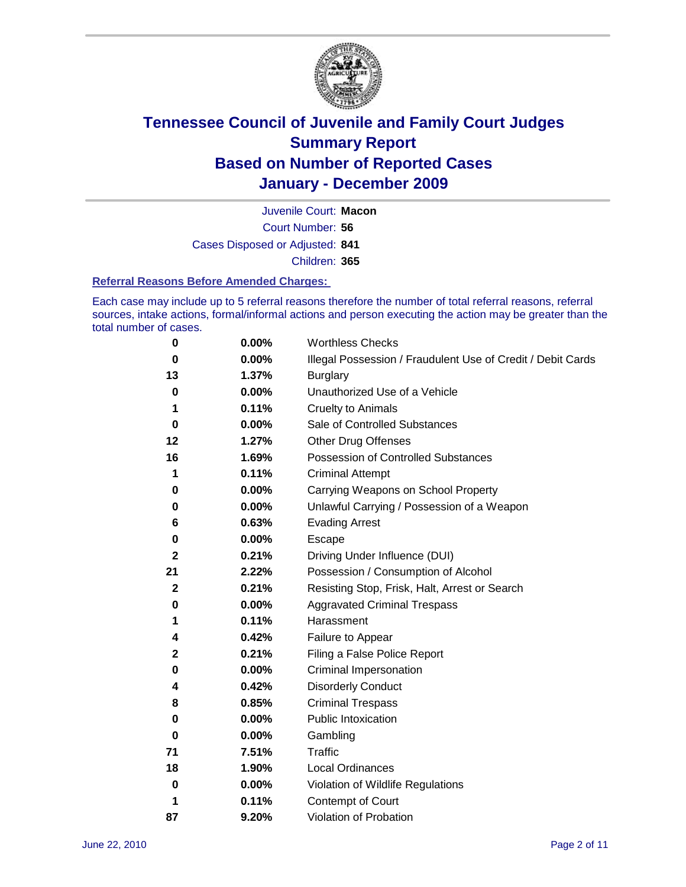

Court Number: **56** Juvenile Court: **Macon** Cases Disposed or Adjusted: **841** Children: **365**

#### **Referral Reasons Before Amended Charges:**

Each case may include up to 5 referral reasons therefore the number of total referral reasons, referral sources, intake actions, formal/informal actions and person executing the action may be greater than the total number of cases.

| 0         | 0.00% | <b>Worthless Checks</b>                                     |
|-----------|-------|-------------------------------------------------------------|
| $\bf{0}$  | 0.00% | Illegal Possession / Fraudulent Use of Credit / Debit Cards |
| 13        | 1.37% | <b>Burglary</b>                                             |
| 0         | 0.00% | Unauthorized Use of a Vehicle                               |
| 1         | 0.11% | <b>Cruelty to Animals</b>                                   |
| 0         | 0.00% | Sale of Controlled Substances                               |
| 12        | 1.27% | <b>Other Drug Offenses</b>                                  |
| 16        | 1.69% | <b>Possession of Controlled Substances</b>                  |
| 1         | 0.11% | <b>Criminal Attempt</b>                                     |
| 0         | 0.00% | Carrying Weapons on School Property                         |
| 0         | 0.00% | Unlawful Carrying / Possession of a Weapon                  |
| 6         | 0.63% | <b>Evading Arrest</b>                                       |
| 0         | 0.00% | Escape                                                      |
| 2         | 0.21% | Driving Under Influence (DUI)                               |
| 21        | 2.22% | Possession / Consumption of Alcohol                         |
| 2         | 0.21% | Resisting Stop, Frisk, Halt, Arrest or Search               |
| 0         | 0.00% | <b>Aggravated Criminal Trespass</b>                         |
| 1         | 0.11% | Harassment                                                  |
| 4         | 0.42% | Failure to Appear                                           |
| 2         | 0.21% | Filing a False Police Report                                |
| 0         | 0.00% | Criminal Impersonation                                      |
| 4         | 0.42% | <b>Disorderly Conduct</b>                                   |
| 8         | 0.85% | <b>Criminal Trespass</b>                                    |
| 0         | 0.00% | <b>Public Intoxication</b>                                  |
| 0         | 0.00% | Gambling                                                    |
| 71        | 7.51% | <b>Traffic</b>                                              |
| 18        | 1.90% | <b>Local Ordinances</b>                                     |
| $\pmb{0}$ | 0.00% | Violation of Wildlife Regulations                           |
| 1         | 0.11% | Contempt of Court                                           |
| 87        | 9.20% | Violation of Probation                                      |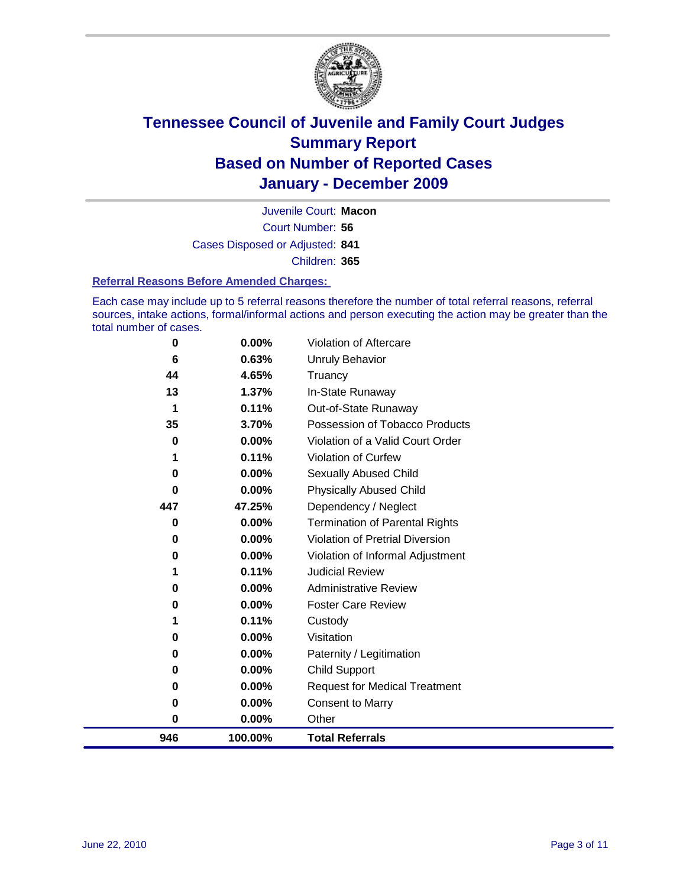

Court Number: **56** Juvenile Court: **Macon** Cases Disposed or Adjusted: **841** Children: **365**

#### **Referral Reasons Before Amended Charges:**

Each case may include up to 5 referral reasons therefore the number of total referral reasons, referral sources, intake actions, formal/informal actions and person executing the action may be greater than the total number of cases.

| 0        | 0.00%    | Violation of Aftercare                 |
|----------|----------|----------------------------------------|
| 6        | 0.63%    | Unruly Behavior                        |
| 44       | 4.65%    | Truancy                                |
| 13       | 1.37%    | In-State Runaway                       |
| 1        | 0.11%    | Out-of-State Runaway                   |
| 35       | 3.70%    | Possession of Tobacco Products         |
| 0        | $0.00\%$ | Violation of a Valid Court Order       |
|          | 0.11%    | Violation of Curfew                    |
| 0        | $0.00\%$ | Sexually Abused Child                  |
| $\bf{0}$ | 0.00%    | <b>Physically Abused Child</b>         |
| 447      | 47.25%   | Dependency / Neglect                   |
| 0        | 0.00%    | <b>Termination of Parental Rights</b>  |
| 0        | 0.00%    | <b>Violation of Pretrial Diversion</b> |
| 0        | 0.00%    | Violation of Informal Adjustment       |
|          | 0.11%    | <b>Judicial Review</b>                 |
| 0        | $0.00\%$ | <b>Administrative Review</b>           |
| 0        | 0.00%    | <b>Foster Care Review</b>              |
|          | 0.11%    | Custody                                |
| 0        | 0.00%    | Visitation                             |
| 0        | 0.00%    | Paternity / Legitimation               |
| 0        | 0.00%    | <b>Child Support</b>                   |
| 0        | 0.00%    | <b>Request for Medical Treatment</b>   |
| 0        | 0.00%    | <b>Consent to Marry</b>                |
| 0        | 0.00%    | Other                                  |
| 946      | 100.00%  | <b>Total Referrals</b>                 |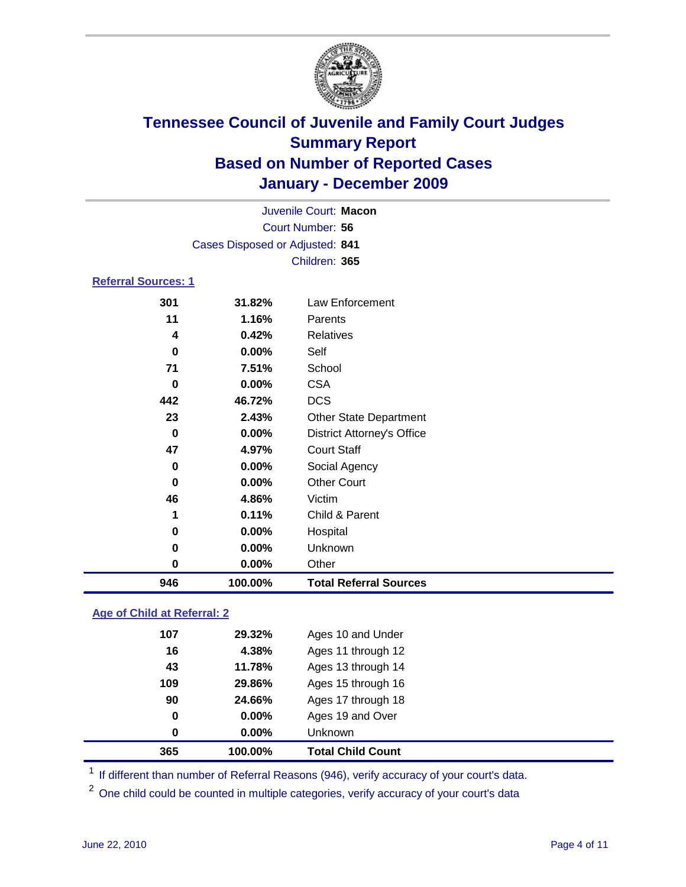

|                            |                                 | Juvenile Court: Macon             |
|----------------------------|---------------------------------|-----------------------------------|
|                            |                                 | Court Number: 56                  |
|                            | Cases Disposed or Adjusted: 841 |                                   |
|                            |                                 | Children: 365                     |
| <b>Referral Sources: 1</b> |                                 |                                   |
| 301                        | 31.82%                          | Law Enforcement                   |
| 11                         | 1.16%                           | Parents                           |
| 4                          | 0.42%                           | <b>Relatives</b>                  |
| 0                          | $0.00\%$                        | Self                              |
| 71                         | 7.51%                           | School                            |
| 0                          | 0.00%                           | <b>CSA</b>                        |
| 442                        | 46.72%                          | <b>DCS</b>                        |
| 23                         | 2.43%                           | <b>Other State Department</b>     |
| $\bf{0}$                   | $0.00\%$                        | <b>District Attorney's Office</b> |
| 47                         | 4.97%                           | <b>Court Staff</b>                |
| 0                          | $0.00\%$                        | Social Agency                     |
| $\bf{0}$                   | 0.00%                           | <b>Other Court</b>                |
| 46                         | 4.86%                           | Victim                            |
| 1                          | 0.11%                           | Child & Parent                    |
| 0                          | 0.00%                           | Hospital                          |
| 0                          | 0.00%                           | Unknown                           |
| 0                          | 0.00%                           | Other                             |

### **Age of Child at Referral: 2**

| 365 | 100.00%  | <b>Total Child Count</b> |
|-----|----------|--------------------------|
| 0   | $0.00\%$ | Unknown                  |
| 0   | 0.00%    | Ages 19 and Over         |
| 90  | 24.66%   | Ages 17 through 18       |
| 109 | 29.86%   | Ages 15 through 16       |
| 43  | 11.78%   | Ages 13 through 14       |
| 16  | 4.38%    | Ages 11 through 12       |
| 107 | 29.32%   | Ages 10 and Under        |
|     |          |                          |

<sup>1</sup> If different than number of Referral Reasons (946), verify accuracy of your court's data.

**100.00% Total Referral Sources**

<sup>2</sup> One child could be counted in multiple categories, verify accuracy of your court's data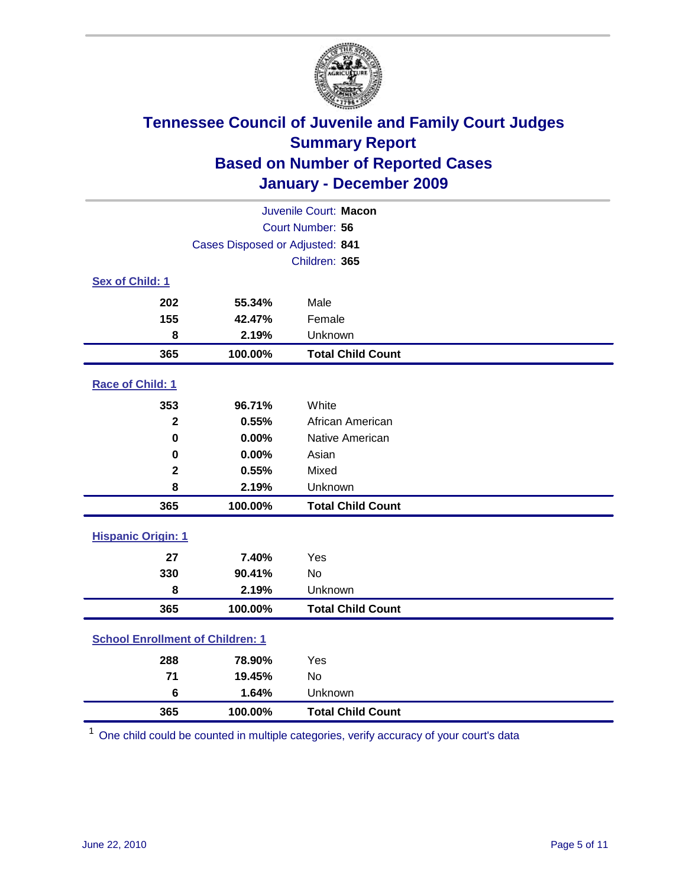

| Juvenile Court: Macon                   |                                 |                          |  |  |
|-----------------------------------------|---------------------------------|--------------------------|--|--|
| Court Number: 56                        |                                 |                          |  |  |
|                                         | Cases Disposed or Adjusted: 841 |                          |  |  |
|                                         |                                 | Children: 365            |  |  |
| Sex of Child: 1                         |                                 |                          |  |  |
| 202                                     | 55.34%                          | Male                     |  |  |
| 155                                     | 42.47%                          | Female                   |  |  |
| 8                                       | 2.19%                           | Unknown                  |  |  |
| 365                                     | 100.00%                         | <b>Total Child Count</b> |  |  |
| Race of Child: 1                        |                                 |                          |  |  |
| 353                                     | 96.71%                          | White                    |  |  |
| $\mathbf{2}$                            | 0.55%                           | African American         |  |  |
| $\mathbf 0$                             | 0.00%                           | Native American          |  |  |
| 0                                       | 0.00%                           | Asian                    |  |  |
| $\mathbf 2$                             | 0.55%                           | Mixed                    |  |  |
| 8                                       | 2.19%                           | Unknown                  |  |  |
| 365                                     | 100.00%                         | <b>Total Child Count</b> |  |  |
| <b>Hispanic Origin: 1</b>               |                                 |                          |  |  |
| 27                                      | 7.40%                           | Yes                      |  |  |
| 330                                     | 90.41%                          | <b>No</b>                |  |  |
| 8                                       | 2.19%                           | Unknown                  |  |  |
| 365                                     | 100.00%                         | <b>Total Child Count</b> |  |  |
| <b>School Enrollment of Children: 1</b> |                                 |                          |  |  |
| 288                                     | 78.90%                          | Yes                      |  |  |
| 71                                      | 19.45%                          | No                       |  |  |
| 6                                       | 1.64%                           | Unknown                  |  |  |
| 365                                     | 100.00%                         | <b>Total Child Count</b> |  |  |

One child could be counted in multiple categories, verify accuracy of your court's data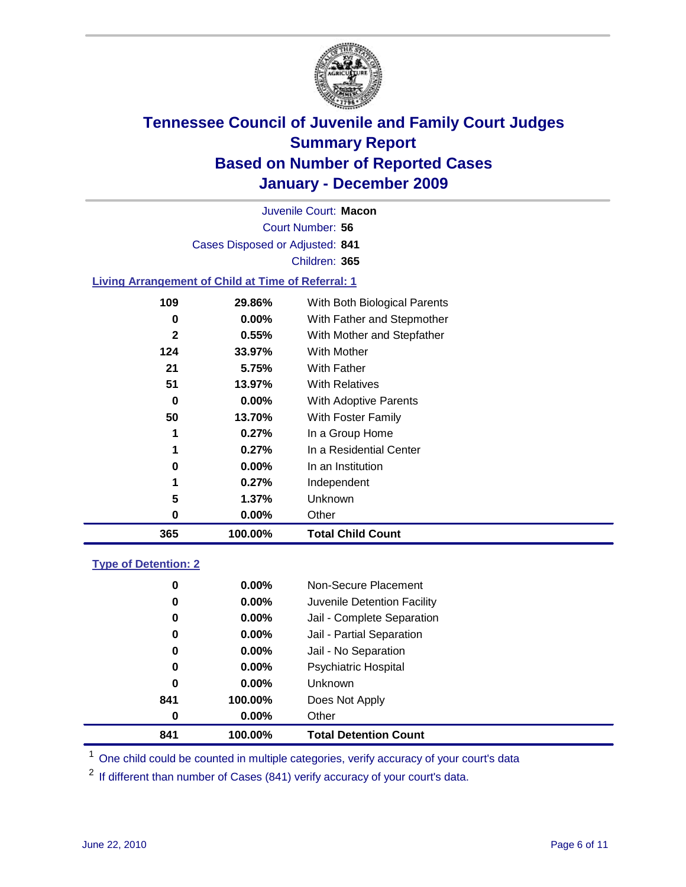

Court Number: **56** Juvenile Court: **Macon** Cases Disposed or Adjusted: **841** Children: **365**

#### **Living Arrangement of Child at Time of Referral: 1**

| 365          | 100.00%  | <b>Total Child Count</b>     |
|--------------|----------|------------------------------|
| 0            | 0.00%    | Other                        |
| 5            | 1.37%    | Unknown                      |
| 1            | 0.27%    | Independent                  |
| 0            | $0.00\%$ | In an Institution            |
| 1            | 0.27%    | In a Residential Center      |
| 1            | 0.27%    | In a Group Home              |
| 50           | 13.70%   | With Foster Family           |
| 0            | $0.00\%$ | With Adoptive Parents        |
| 51           | 13.97%   | <b>With Relatives</b>        |
| 21           | 5.75%    | With Father                  |
| 124          | 33.97%   | <b>With Mother</b>           |
| $\mathbf{2}$ | 0.55%    | With Mother and Stepfather   |
| 0            | $0.00\%$ | With Father and Stepmother   |
| 109          | 29.86%   | With Both Biological Parents |
|              |          |                              |

#### **Type of Detention: 2**

| 841              | 100.00%  | <b>Total Detention Count</b> |
|------------------|----------|------------------------------|
| $\boldsymbol{0}$ | $0.00\%$ | Other                        |
| 841              | 100.00%  | Does Not Apply               |
| 0                | $0.00\%$ | <b>Unknown</b>               |
| 0                | 0.00%    | <b>Psychiatric Hospital</b>  |
| 0                | 0.00%    | Jail - No Separation         |
| 0                | $0.00\%$ | Jail - Partial Separation    |
| 0                | $0.00\%$ | Jail - Complete Separation   |
| 0                | 0.00%    | Juvenile Detention Facility  |
| 0                | $0.00\%$ | Non-Secure Placement         |
|                  |          |                              |

<sup>1</sup> One child could be counted in multiple categories, verify accuracy of your court's data

<sup>2</sup> If different than number of Cases (841) verify accuracy of your court's data.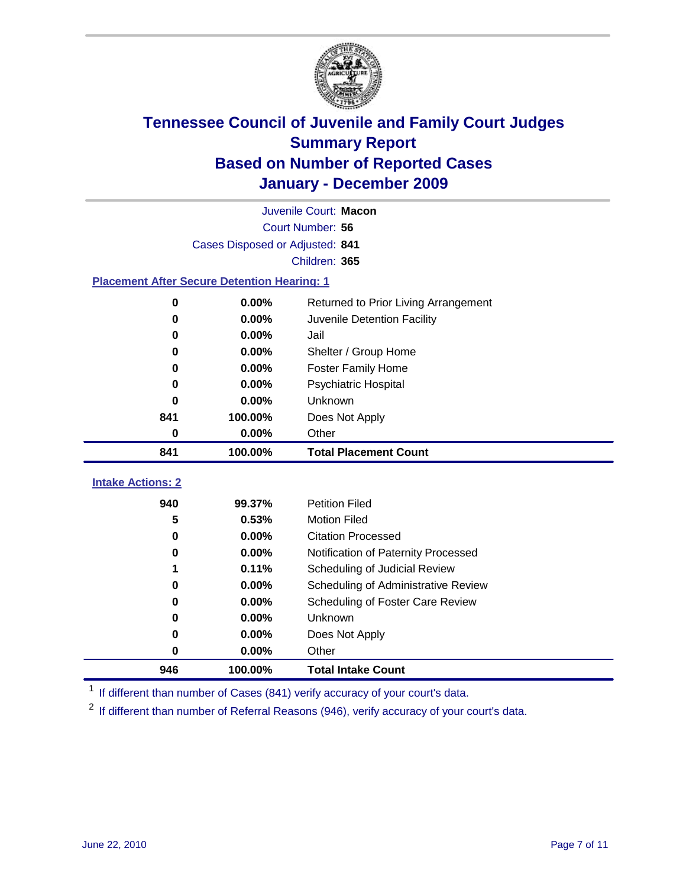

| Juvenile Court: Macon                              |                                 |                                      |  |  |  |
|----------------------------------------------------|---------------------------------|--------------------------------------|--|--|--|
|                                                    | Court Number: 56                |                                      |  |  |  |
|                                                    | Cases Disposed or Adjusted: 841 |                                      |  |  |  |
|                                                    |                                 | Children: 365                        |  |  |  |
| <b>Placement After Secure Detention Hearing: 1</b> |                                 |                                      |  |  |  |
| 0                                                  | 0.00%                           | Returned to Prior Living Arrangement |  |  |  |
| $\bf{0}$                                           | 0.00%                           | Juvenile Detention Facility          |  |  |  |
| 0                                                  | 0.00%                           | Jail                                 |  |  |  |
| 0                                                  | 0.00%                           | Shelter / Group Home                 |  |  |  |
| 0                                                  | 0.00%                           | <b>Foster Family Home</b>            |  |  |  |
| 0                                                  | 0.00%                           | Psychiatric Hospital                 |  |  |  |
| 0                                                  | 0.00%                           | Unknown                              |  |  |  |
| 841                                                | 100.00%                         | Does Not Apply                       |  |  |  |
| $\bf{0}$                                           | 0.00%                           | Other                                |  |  |  |
| 841                                                | 100.00%                         | <b>Total Placement Count</b>         |  |  |  |
| <b>Intake Actions: 2</b>                           |                                 |                                      |  |  |  |
| 940                                                | 99.37%                          | <b>Petition Filed</b>                |  |  |  |
| 5                                                  | 0.53%                           | <b>Motion Filed</b>                  |  |  |  |
| 0                                                  | 0.00%                           | <b>Citation Processed</b>            |  |  |  |
| 0                                                  | 0.00%                           | Notification of Paternity Processed  |  |  |  |
| 1                                                  | 0.11%                           | Scheduling of Judicial Review        |  |  |  |
| $\bf{0}$                                           | 0.00%                           | Scheduling of Administrative Review  |  |  |  |
| $\bf{0}$                                           | 0.00%                           | Scheduling of Foster Care Review     |  |  |  |
| 0                                                  | 0.00%                           | Unknown                              |  |  |  |
|                                                    |                                 |                                      |  |  |  |
| 0                                                  | 0.00%                           | Does Not Apply                       |  |  |  |

<sup>1</sup> If different than number of Cases (841) verify accuracy of your court's data.

**100.00% Total Intake Count**

<sup>2</sup> If different than number of Referral Reasons (946), verify accuracy of your court's data.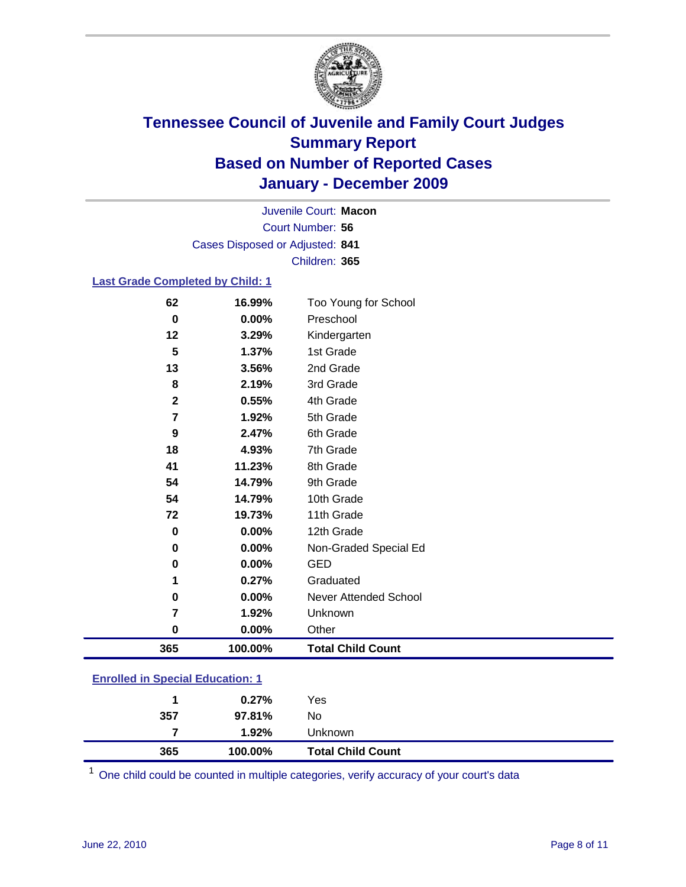

Court Number: **56** Juvenile Court: **Macon** Cases Disposed or Adjusted: **841** Children: **365**

#### **Last Grade Completed by Child: 1**

| 62                                      | 16.99%  | Too Young for School         |  |
|-----------------------------------------|---------|------------------------------|--|
| 0                                       | 0.00%   | Preschool                    |  |
| 12                                      | 3.29%   | Kindergarten                 |  |
| 5                                       | 1.37%   | 1st Grade                    |  |
| 13                                      | 3.56%   | 2nd Grade                    |  |
| 8                                       | 2.19%   | 3rd Grade                    |  |
| $\mathbf{2}$                            | 0.55%   | 4th Grade                    |  |
| 7                                       | 1.92%   | 5th Grade                    |  |
| 9                                       | 2.47%   | 6th Grade                    |  |
| 18                                      | 4.93%   | 7th Grade                    |  |
| 41                                      | 11.23%  | 8th Grade                    |  |
| 54                                      | 14.79%  | 9th Grade                    |  |
| 54                                      | 14.79%  | 10th Grade                   |  |
| 72                                      | 19.73%  | 11th Grade                   |  |
| $\mathbf 0$                             | 0.00%   | 12th Grade                   |  |
| 0                                       | 0.00%   | Non-Graded Special Ed        |  |
| 0                                       | 0.00%   | <b>GED</b>                   |  |
| 1                                       | 0.27%   | Graduated                    |  |
| 0                                       | 0.00%   | <b>Never Attended School</b> |  |
| 7                                       | 1.92%   | Unknown                      |  |
| $\mathbf 0$                             | 0.00%   | Other                        |  |
| 365                                     | 100.00% | <b>Total Child Count</b>     |  |
| <b>Enrolled in Special Education: 1</b> |         |                              |  |

| 365                                      | 100.00%  | <b>Total Child Count</b> |  |  |
|------------------------------------------|----------|--------------------------|--|--|
|                                          | $1.92\%$ | <b>Unknown</b>           |  |  |
| 357                                      | 97.81%   | No                       |  |  |
|                                          | 0.27%    | Yes                      |  |  |
| <u>Einvilled in Opecial Education. T</u> |          |                          |  |  |

One child could be counted in multiple categories, verify accuracy of your court's data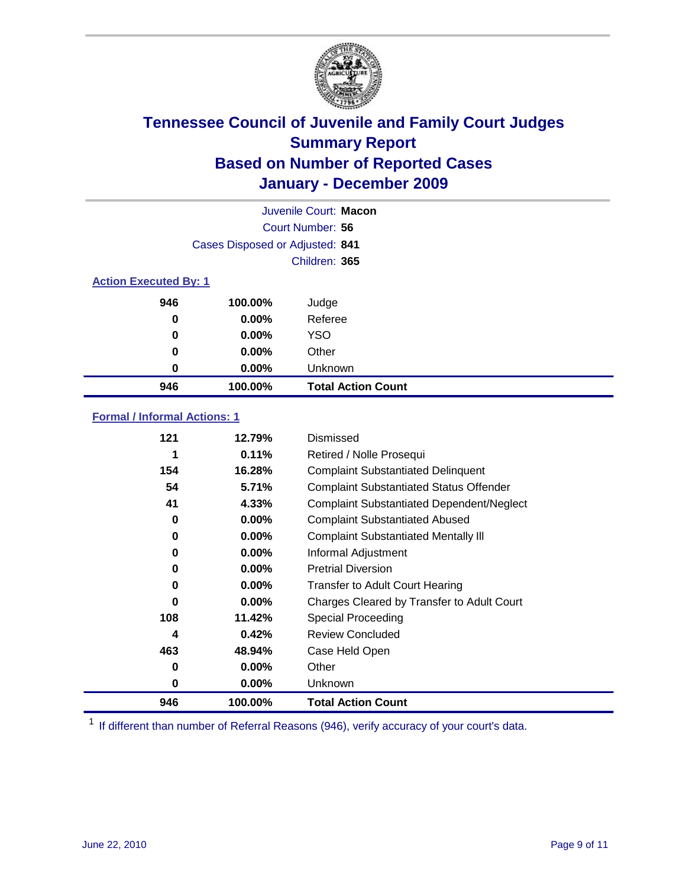

|     |                                 | Juvenile Court: Macon     |  |  |  |
|-----|---------------------------------|---------------------------|--|--|--|
|     |                                 | Court Number: 56          |  |  |  |
|     | Cases Disposed or Adjusted: 841 |                           |  |  |  |
|     |                                 | Children: 365             |  |  |  |
|     | <b>Action Executed By: 1</b>    |                           |  |  |  |
| 946 | 100.00%                         | Judge                     |  |  |  |
| 0   | $0.00\%$                        | Referee                   |  |  |  |
| 0   | $0.00\%$                        | <b>YSO</b>                |  |  |  |
| 0   | 0.00%                           | Other                     |  |  |  |
| 0   | 0.00%                           | Unknown                   |  |  |  |
| 946 | 100.00%                         | <b>Total Action Count</b> |  |  |  |

### **Formal / Informal Actions: 1**

| 121 | 12.79%   | Dismissed                                        |
|-----|----------|--------------------------------------------------|
| 1   | 0.11%    | Retired / Nolle Prosequi                         |
| 154 | 16.28%   | <b>Complaint Substantiated Delinquent</b>        |
| 54  | 5.71%    | <b>Complaint Substantiated Status Offender</b>   |
| 41  | 4.33%    | <b>Complaint Substantiated Dependent/Neglect</b> |
| 0   | $0.00\%$ | <b>Complaint Substantiated Abused</b>            |
| 0   | $0.00\%$ | <b>Complaint Substantiated Mentally III</b>      |
| 0   | $0.00\%$ | Informal Adjustment                              |
| 0   | $0.00\%$ | <b>Pretrial Diversion</b>                        |
| 0   | $0.00\%$ | <b>Transfer to Adult Court Hearing</b>           |
| 0   | $0.00\%$ | Charges Cleared by Transfer to Adult Court       |
| 108 | 11.42%   | <b>Special Proceeding</b>                        |
| 4   | 0.42%    | <b>Review Concluded</b>                          |
| 463 | 48.94%   | Case Held Open                                   |
| 0   | $0.00\%$ | Other                                            |
| 0   | $0.00\%$ | Unknown                                          |
| 946 | 100.00%  | <b>Total Action Count</b>                        |

<sup>1</sup> If different than number of Referral Reasons (946), verify accuracy of your court's data.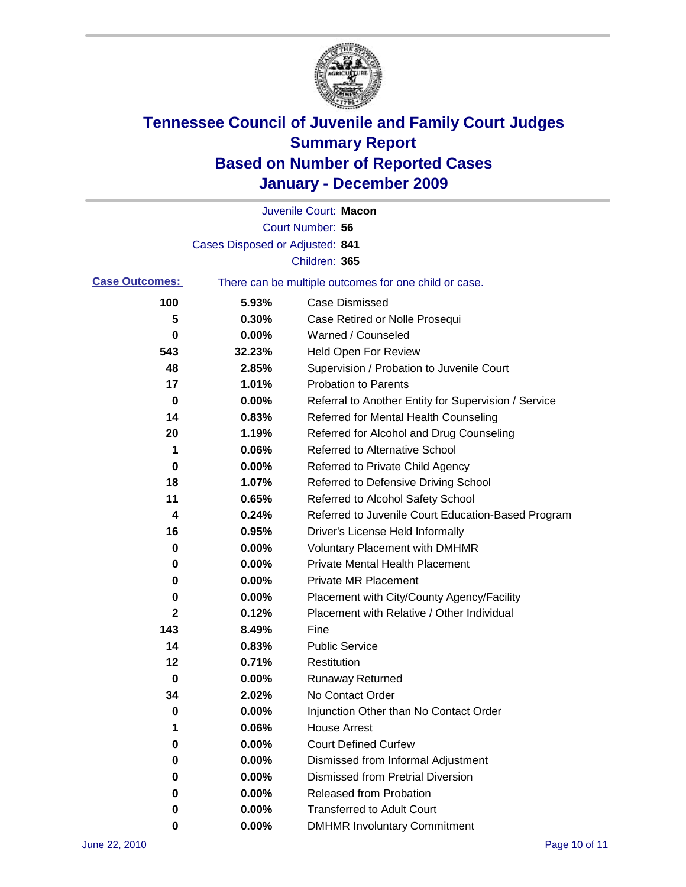

|                       |                                 | Juvenile Court: Macon                                 |
|-----------------------|---------------------------------|-------------------------------------------------------|
|                       |                                 | Court Number: 56                                      |
|                       | Cases Disposed or Adjusted: 841 |                                                       |
|                       |                                 | Children: 365                                         |
| <b>Case Outcomes:</b> |                                 | There can be multiple outcomes for one child or case. |
| 100                   | 5.93%                           | <b>Case Dismissed</b>                                 |
| 5                     | 0.30%                           | Case Retired or Nolle Prosequi                        |
| 0                     | 0.00%                           | Warned / Counseled                                    |
| 543                   | 32.23%                          | <b>Held Open For Review</b>                           |
| 48                    | 2.85%                           | Supervision / Probation to Juvenile Court             |
| 17                    | 1.01%                           | <b>Probation to Parents</b>                           |
| 0                     | 0.00%                           | Referral to Another Entity for Supervision / Service  |
| 14                    | 0.83%                           | Referred for Mental Health Counseling                 |
| 20                    | 1.19%                           | Referred for Alcohol and Drug Counseling              |
| 1                     | 0.06%                           | <b>Referred to Alternative School</b>                 |
| 0                     | 0.00%                           | Referred to Private Child Agency                      |
| 18                    | 1.07%                           | Referred to Defensive Driving School                  |
| 11                    | 0.65%                           | Referred to Alcohol Safety School                     |
| 4                     | 0.24%                           | Referred to Juvenile Court Education-Based Program    |
| 16                    | 0.95%                           | Driver's License Held Informally                      |
| 0                     | 0.00%                           | <b>Voluntary Placement with DMHMR</b>                 |
| 0                     | 0.00%                           | <b>Private Mental Health Placement</b>                |
| 0                     | 0.00%                           | <b>Private MR Placement</b>                           |
| 0                     | 0.00%                           | Placement with City/County Agency/Facility            |
| 2                     | 0.12%                           | Placement with Relative / Other Individual            |
| 143                   | 8.49%                           | Fine                                                  |
| 14                    | 0.83%                           | <b>Public Service</b>                                 |
| 12                    | 0.71%                           | Restitution                                           |
| 0                     | 0.00%                           | <b>Runaway Returned</b>                               |
| 34                    | 2.02%                           | No Contact Order                                      |
| 0                     | 0.00%                           | Injunction Other than No Contact Order                |
| 1                     | 0.06%                           | <b>House Arrest</b>                                   |
| 0                     | 0.00%                           | <b>Court Defined Curfew</b>                           |
| 0                     | 0.00%                           | Dismissed from Informal Adjustment                    |
| 0                     | 0.00%                           | <b>Dismissed from Pretrial Diversion</b>              |
| 0                     | 0.00%                           | Released from Probation                               |
| 0                     | 0.00%                           | <b>Transferred to Adult Court</b>                     |
| 0                     | $0.00\%$                        | <b>DMHMR Involuntary Commitment</b>                   |